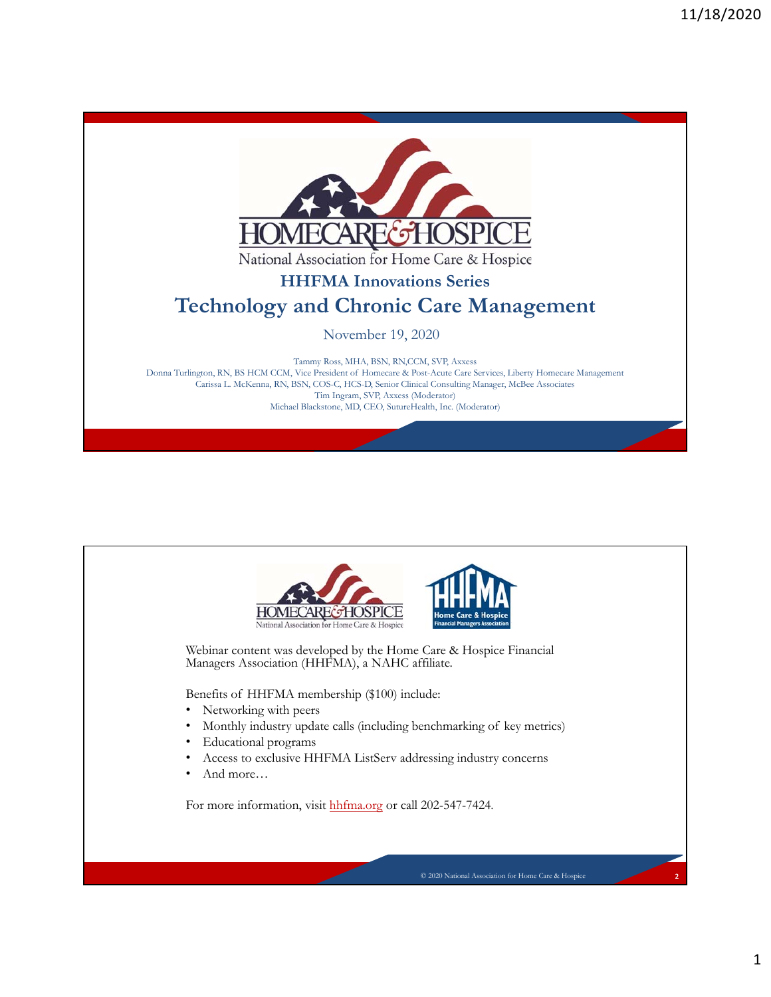



1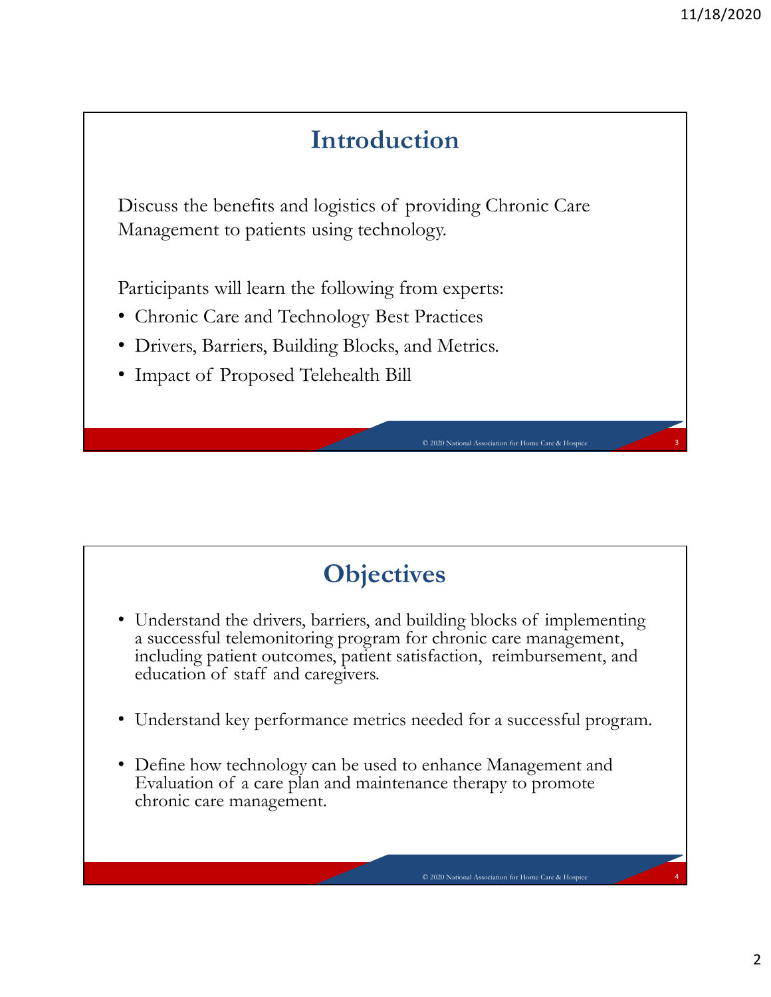3

4

## **Introduction**

Discuss the benefits and logistics of providing Chronic Care Management to patients using technology.

Participants will learn the following from experts:

- Chronic Care and Technology Best Practices
- Drivers, Barriers, Building Blocks, and Metrics.
- Impact of Proposed Telehealth Bill

## **Objectives**

© 2020 National Association for Home Care & Hospice

© 2020 National Association for Home Care & Hospice

- Understand the drivers, barriers, and building blocks of implementing a successful telemonitoring program for chronic care management, including patient outcomes, patient satisfaction, reimbursement, and education of staff and caregivers.
- Understand key performance metrics needed for a successful program.
- Define how technology can be used to enhance Management and Evaluation of a care plan and maintenance therapy to promote chronic care management.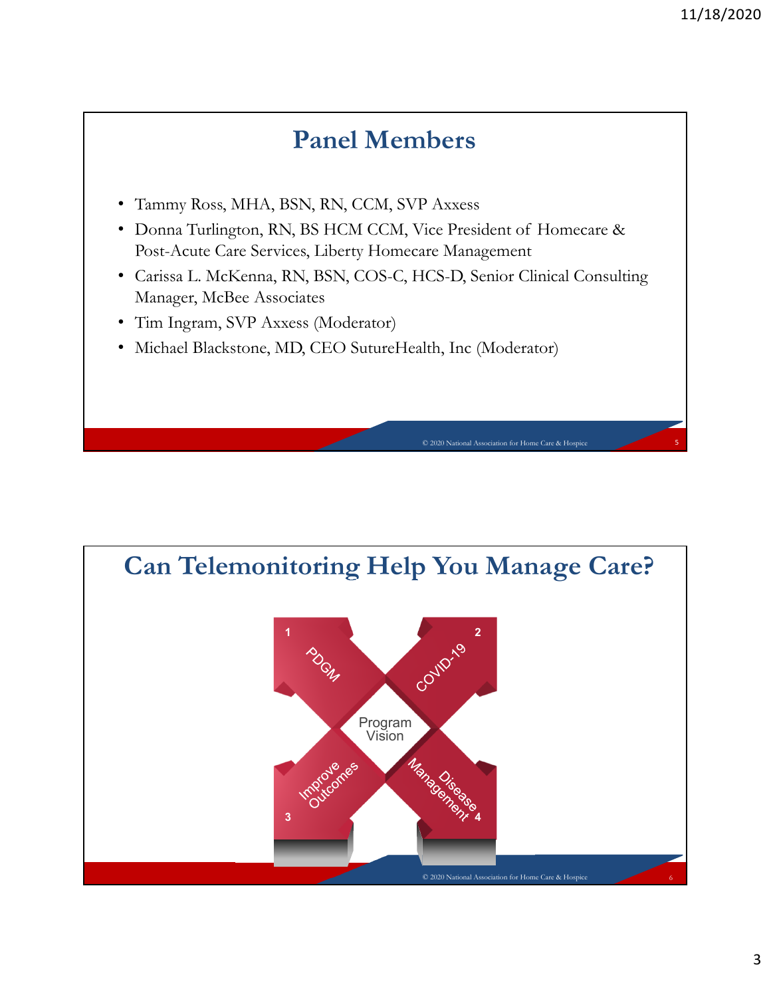

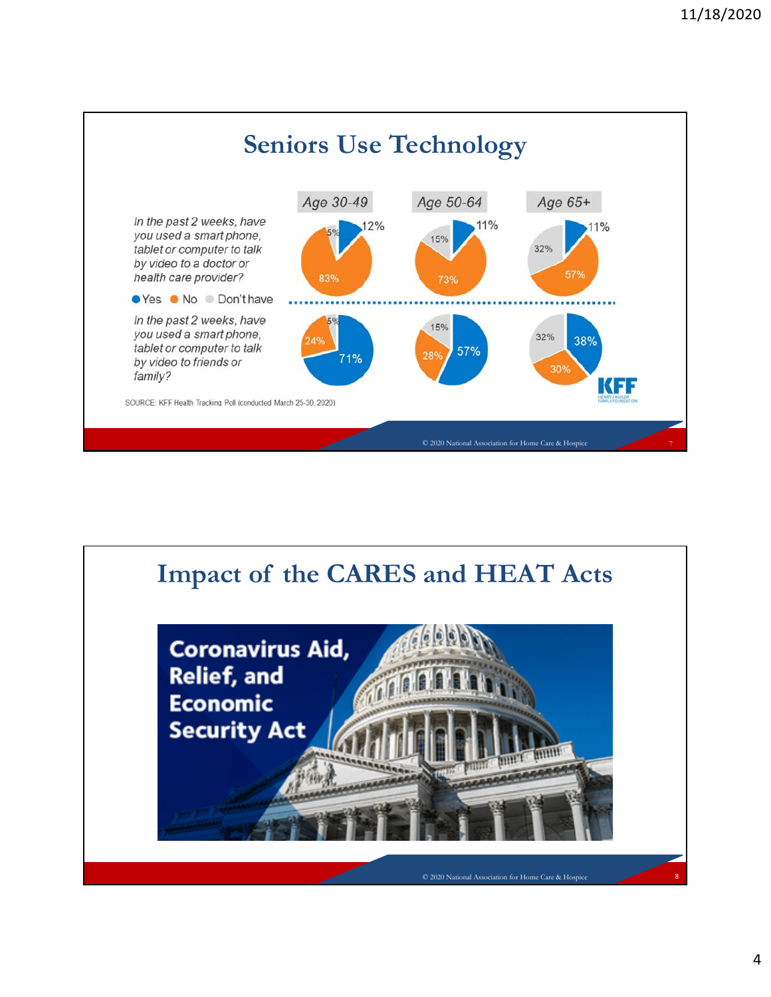

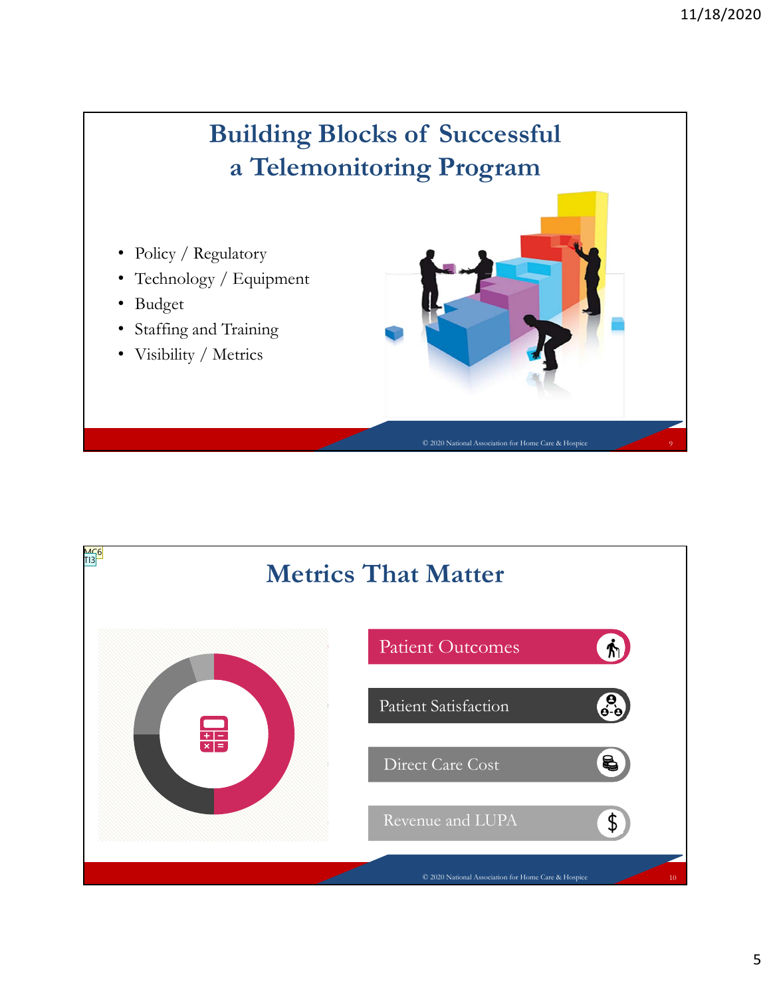

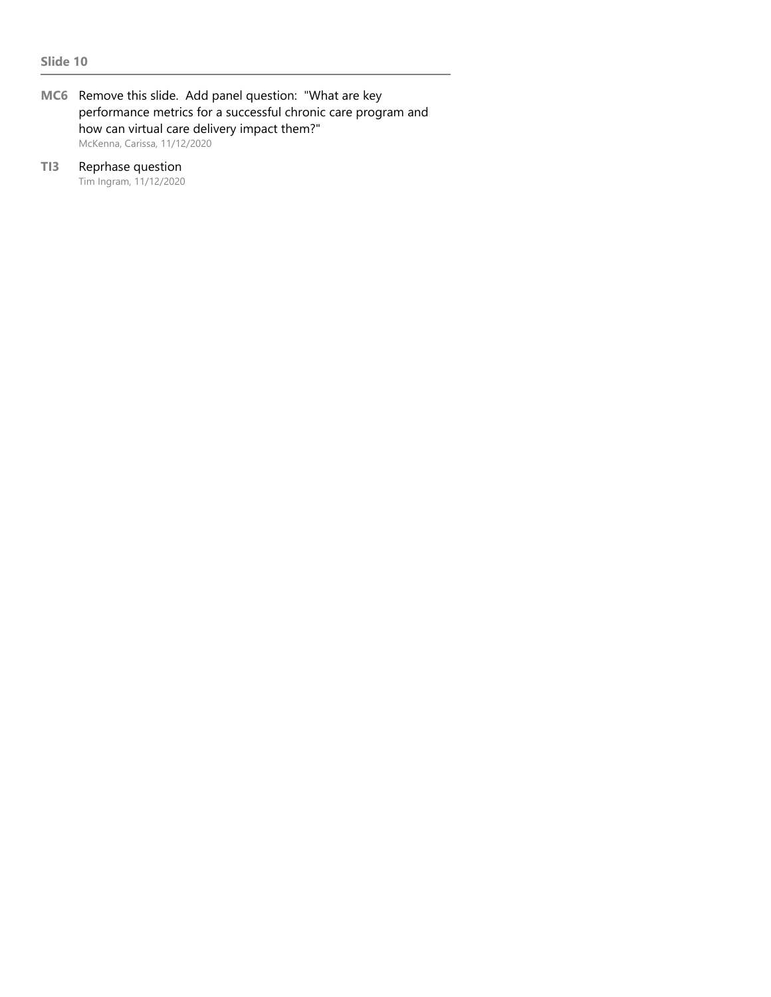- **MC6** Remove this slide. Add panel question: "What are key performance metrics for a successful chronic care program and how can virtual care delivery impact them?" McKenna, Carissa, 11/12/2020
- **TI3** Reprhase question

Tim Ingram, 11/12/2020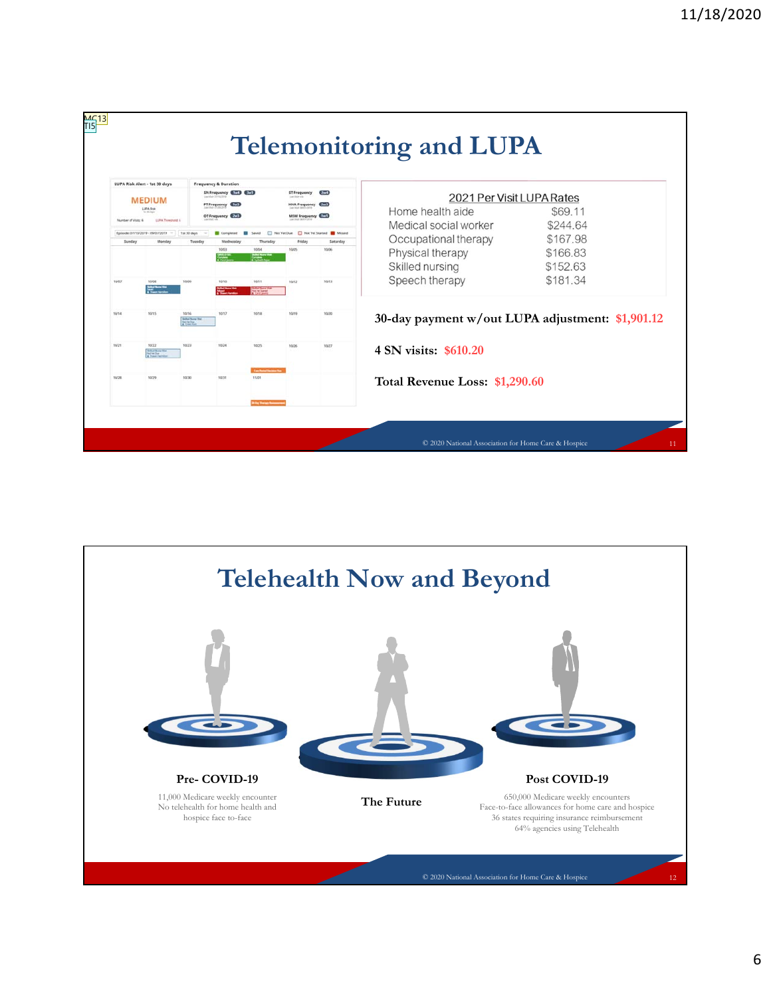| LUPA Risk Alert - 1st 30 days                                                                                                         |                                   |                                                                   | <b>Frequency &amp; Duration</b>                                                  |         |                                                               |                             |                                                  |          |
|---------------------------------------------------------------------------------------------------------------------------------------|-----------------------------------|-------------------------------------------------------------------|----------------------------------------------------------------------------------|---------|---------------------------------------------------------------|-----------------------------|--------------------------------------------------|----------|
| <b>MEDIUM</b><br>LUFA Rok<br>to Millay<br>Number of Vices &<br>LURA Threshold &<br>Epsode: 07/10/2019 - 09/07/2019<br>Sunday<br>Monda |                                   |                                                                   | SN Frequency <b>GTLD</b> 6753<br><b>PT Frequency CHID</b><br>OT Frequency (2003) |         |                                                               | ST Frequency<br>2m9         | 2021 Per Visit LUPA Rates                        |          |
|                                                                                                                                       |                                   |                                                                   |                                                                                  |         |                                                               | <b>HHA Frequency (2011)</b> | Home health aide                                 | \$69.11  |
|                                                                                                                                       |                                   |                                                                   |                                                                                  |         | <b>MSW Frequency GMD</b>                                      |                             | Medical social worker                            | \$244.64 |
|                                                                                                                                       |                                   | Tel: 30 days<br><b>Completed</b><br>Saved<br>Tuesday<br>Wednesday |                                                                                  | Thursda | Not Yet Due 17 Not Yet Started & Missed<br>Eriday<br>Saturday |                             | Occupational therapy                             | \$167.98 |
|                                                                                                                                       |                                   |                                                                   | stutto                                                                           | 10/04   | <b>STUDE</b>                                                  | triutal                     | Physical therapy                                 | \$166.83 |
|                                                                                                                                       |                                   |                                                                   |                                                                                  |         |                                                               |                             | Skilled nursing                                  | \$152.63 |
| 10/07                                                                                                                                 | 15/08                             | 10/09                                                             | 10/10                                                                            | 10/11   | 15/12                                                         | toyta.                      | Speech therapy                                   | \$181.34 |
| 10/14                                                                                                                                 | sars.                             | 10/16<br><b>HEE</b>                                               | 10/17                                                                            | 10/18   |                                                               | 10/20                       | 30-day payment w/out LUPA adjustment: \$1,901.12 |          |
| 10/21                                                                                                                                 | 10/22<br><b>Science Human Vie</b> | 10/23                                                             | 10/24                                                                            | 10/25   | 10/26                                                         | 10/27                       | 4 SN visits: \$610.20                            |          |
| 10/28                                                                                                                                 | 10/29                             | 10/30                                                             | 10/31                                                                            | 11/01   |                                                               |                             | Total Revenue Loss: \$1,290.60                   |          |

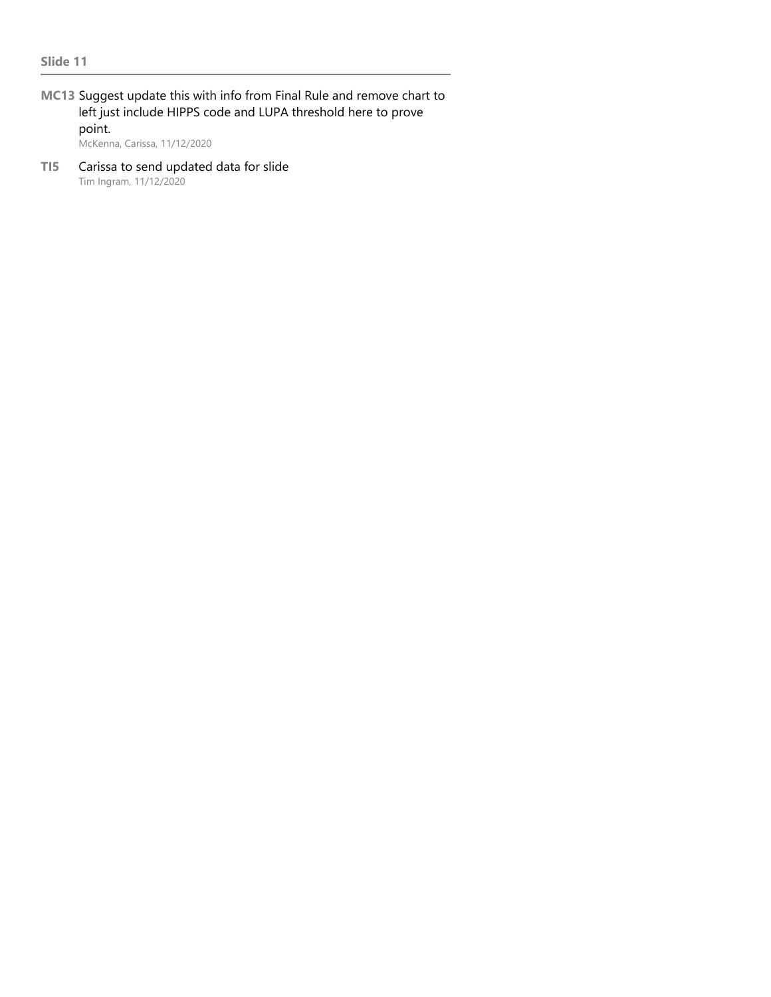**MC13** Suggest update this with info from Final Rule and remove chart to left just include HIPPS code and LUPA threshold here to prove point.

McKenna, Carissa, 11/12/2020

**TI5** Carissa to send updated data for slide Tim Ingram, 11/12/2020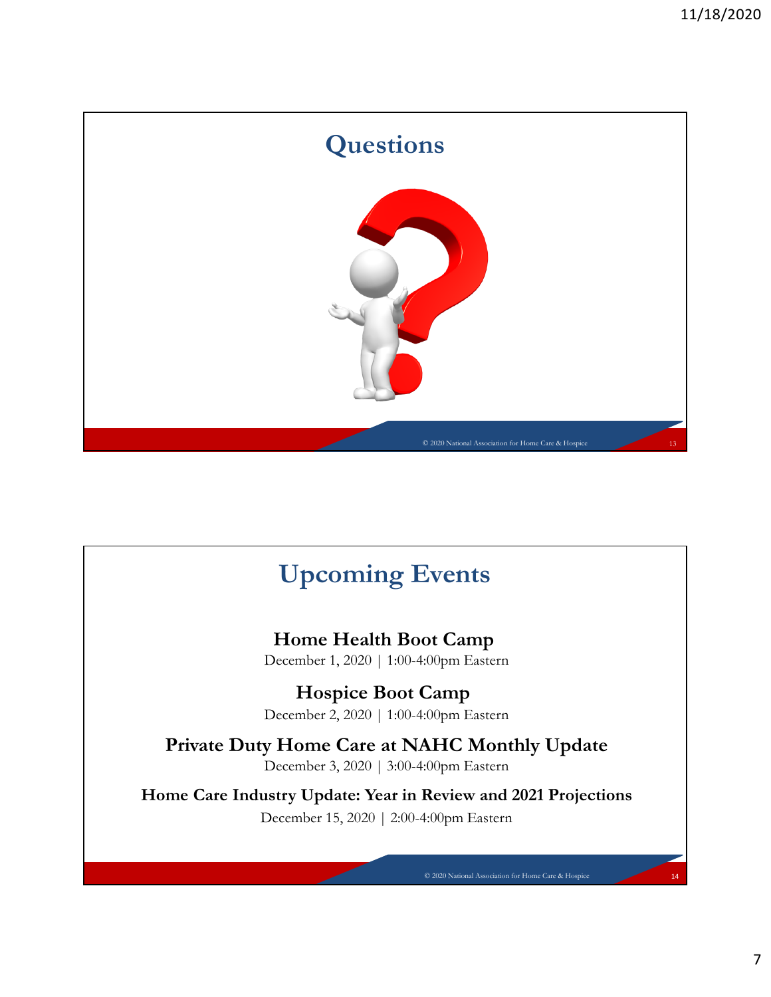

## **Upcoming Events**

**Home Health Boot Camp**

December 1, 2020 | 1:00-4:00pm Eastern

**Hospice Boot Camp** December 2, 2020 | 1:00-4:00pm Eastern

**Private Duty Home Care at NAHC Monthly Update** December 3, 2020 | 3:00-4:00pm Eastern

**Home Care Industry Update: Year in Review and 2021 Projections** December 15, 2020 | 2:00-4:00pm Eastern

© 2020 National Association for Home Care & Hospice

14